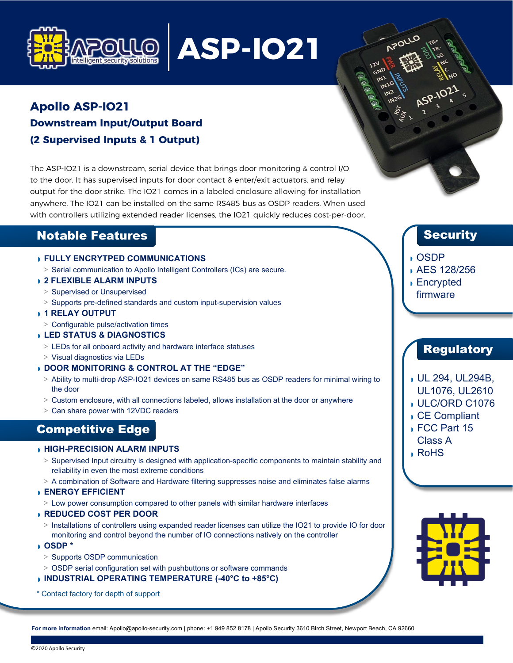

# **ASP-IO21**

## **Apollo ASP-IO21 Downstream Input/Output Board (2 Supervised Inputs & 1 Output)**

The ASP-IO21 is a downstream, serial device that brings door monitoring & control I/O to the door. It has supervised inputs for door contact & enter/exit actuators, and relay output for the door strike. The IO21 comes in a labeled enclosure allowing for installation anywhere. The IO21 can be installed on the same RS485 bus as OSDP readers. When used with controllers utilizing extended reader licenses, the IO21 quickly reduces cost-per-door.

### Notable Features

#### ◗ **FULLY ENCRYTPED COMMUNICATIONS**

**>** Serial communication to Apollo Intelligent Controllers (ICs) are secure.

#### ◗ **2 FLEXIBLE ALARM INPUTS**

- **>** Supervised or Unsupervised
- **>** Supports pre-defined standards and custom input-supervision values
- ◗ **1 RELAY OUTPUT**
- **>** Configurable pulse/activation times

#### ◗ **LED STATUS & DIAGNOSTICS**

- **>** LEDs for all onboard activity and hardware interface statuses
- **>** Visual diagnostics via LEDs

#### ◗ **DOOR MONITORING & CONTROL AT THE "EDGE"**

- **>** Ability to multi-drop ASP-IO21 devices on same RS485 bus as OSDP readers for minimal wiring to the door
- **>** Custom enclosure, with all connections labeled, allows installation at the door or anywhere
- **>** Can share power with 12VDC readers

## Competitive Edge

#### ◗ **HIGH-PRECISION ALARM INPUTS**

- **>** Supervised Input circuitry is designed with application-specific components to maintain stability and reliability in even the most extreme conditions
- **>** A combination of Software and Hardware filtering suppresses noise and eliminates false alarms

#### ◗ **ENERGY EFFICIENT**

**>** Low power consumption compared to other panels with similar hardware interfaces

#### ◗ **REDUCED COST PER DOOR**

- **>** Installations of controllers using expanded reader licenses can utilize the IO21 to provide IO for door monitoring and control beyond the number of IO connections natively on the controller
- ◗ **OSDP \***
	- **>** Supports OSDP communication
	- **>** OSDP serial configuration set with pushbuttons or software commands

#### ◗ **INDUSTRIAL OPERATING TEMPERATURE (-40°C to +85°C)**

\* Contact factory for depth of support

## **Security**

#### ◗ OSDP

**APOLI** 

- ◗ AES 128/256
- ◗ Encrypted firmware

## Regulatory

- ◗ UL 294, UL294B,
- UL1076, UL2610
- ◗ ULC/ORD C1076
- ◗ CE Compliant
- ◗ FCC Part 15 Class A
- ◗ RoHS



**For more information** email: [Apollo@apollo-security.com | p](mailto:Apollo@apollo-security.com)hone: +1 949 852 8178 | Apollo Security 3610 Birch Street, Newport Beach, CA 92660